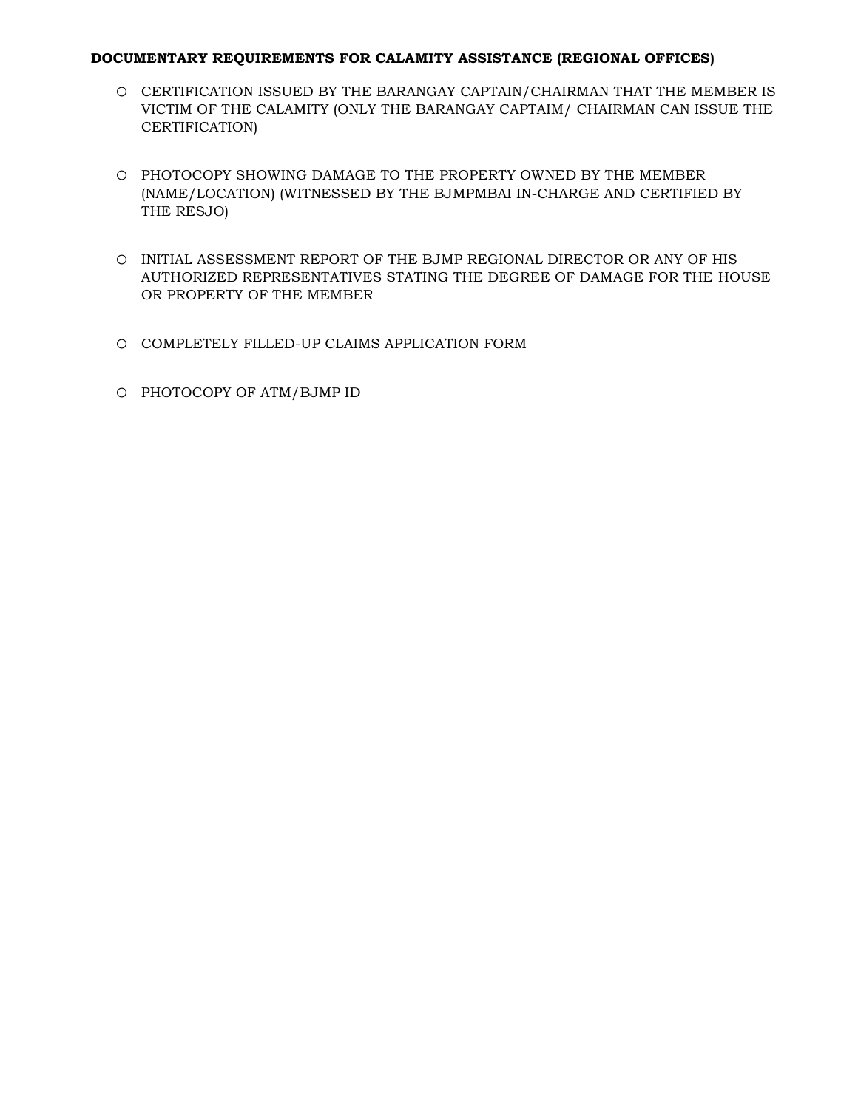## **DOCUMENTARY REQUIREMENTS FOR CALAMITY ASSISTANCE (REGIONAL OFFICES)**

- o CERTIFICATION ISSUED BY THE BARANGAY CAPTAIN/CHAIRMAN THAT THE MEMBER IS VICTIM OF THE CALAMITY (ONLY THE BARANGAY CAPTAIM/ CHAIRMAN CAN ISSUE THE CERTIFICATION)
- o PHOTOCOPY SHOWING DAMAGE TO THE PROPERTY OWNED BY THE MEMBER (NAME/LOCATION) (WITNESSED BY THE BJMPMBAI IN-CHARGE AND CERTIFIED BY THE RESJO)
- o INITIAL ASSESSMENT REPORT OF THE BJMP REGIONAL DIRECTOR OR ANY OF HIS AUTHORIZED REPRESENTATIVES STATING THE DEGREE OF DAMAGE FOR THE HOUSE OR PROPERTY OF THE MEMBER
- o COMPLETELY FILLED-UP CLAIMS APPLICATION FORM
- o PHOTOCOPY OF ATM/BJMP ID